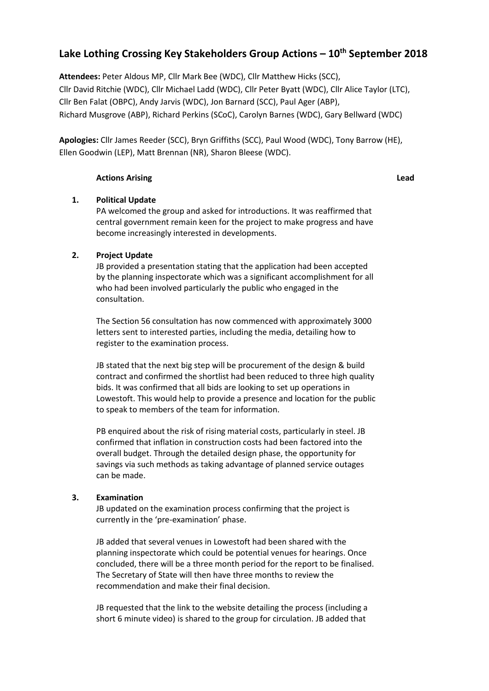# **Lake Lothing Crossing Key Stakeholders Group Actions – 10th September 2018**

**Attendees:** Peter Aldous MP, Cllr Mark Bee (WDC), Cllr Matthew Hicks (SCC), Cllr David Ritchie (WDC), Cllr Michael Ladd (WDC), Cllr Peter Byatt (WDC), Cllr Alice Taylor (LTC), Cllr Ben Falat (OBPC), Andy Jarvis (WDC), Jon Barnard (SCC), Paul Ager (ABP), Richard Musgrove (ABP), Richard Perkins (SCoC), Carolyn Barnes (WDC), Gary Bellward (WDC)

**Apologies:** Cllr James Reeder (SCC), Bryn Griffiths (SCC), Paul Wood (WDC), Tony Barrow (HE), Ellen Goodwin (LEP), Matt Brennan (NR), Sharon Bleese (WDC).

### **Actions Arising Lead**

# **1. Political Update**

PA welcomed the group and asked for introductions. It was reaffirmed that central government remain keen for the project to make progress and have become increasingly interested in developments.

# **2. Project Update**

JB provided a presentation stating that the application had been accepted by the planning inspectorate which was a significant accomplishment for all who had been involved particularly the public who engaged in the consultation.

The Section 56 consultation has now commenced with approximately 3000 letters sent to interested parties, including the media, detailing how to register to the examination process.

JB stated that the next big step will be procurement of the design & build contract and confirmed the shortlist had been reduced to three high quality bids. It was confirmed that all bids are looking to set up operations in Lowestoft. This would help to provide a presence and location for the public to speak to members of the team for information.

PB enquired about the risk of rising material costs, particularly in steel. JB confirmed that inflation in construction costs had been factored into the overall budget. Through the detailed design phase, the opportunity for savings via such methods as taking advantage of planned service outages can be made.

# **3. Examination**

JB updated on the examination process confirming that the project is currently in the 'pre-examination' phase.

JB added that several venues in Lowestoft had been shared with the planning inspectorate which could be potential venues for hearings. Once concluded, there will be a three month period for the report to be finalised. The Secretary of State will then have three months to review the recommendation and make their final decision.

JB requested that the link to the website detailing the process (including a short 6 minute video) is shared to the group for circulation. JB added that